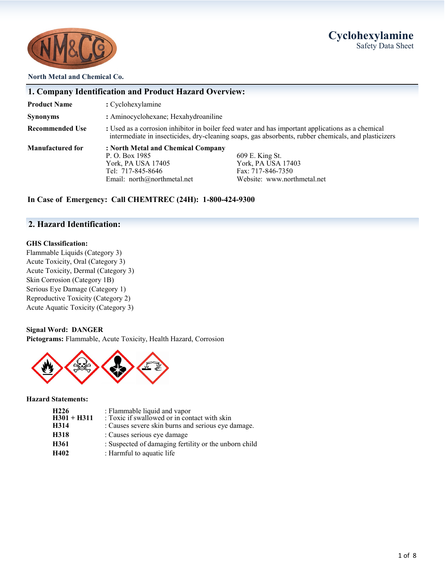## **Cyclohexylamine** Safety Data Sheet



#### **North Metal and Chemical Co.**

|                         | 1. Company Identification and Product Hazard Overview:                                                                           |                                                                                                                                                                                                           |
|-------------------------|----------------------------------------------------------------------------------------------------------------------------------|-----------------------------------------------------------------------------------------------------------------------------------------------------------------------------------------------------------|
| <b>Product Name</b>     | : Cyclohexylamine                                                                                                                |                                                                                                                                                                                                           |
| Synonyms                | : Aminocyclohexane; Hexahydroaniline                                                                                             |                                                                                                                                                                                                           |
| <b>Recommended Use</b>  |                                                                                                                                  | : Used as a corrosion inhibitor in boiler feed water and has important applications as a chemical<br>intermediate in insecticides, dry-cleaning soaps, gas absorbents, rubber chemicals, and plasticizers |
| <b>Manufactured for</b> | : North Metal and Chemical Company<br>P. O. Box 1985<br>York, PA USA 17405<br>Tel: 717-845-8646<br>Email: $north@northmetal.net$ | 609 E. King St.<br>York, PA USA 17403<br>Fax: 717-846-7350<br>Website: www.northmetal.net                                                                                                                 |

## **In Case of Emergency: Call CHEMTREC (24H): 1-800-424-9300**

## **2. Hazard Identification:**

#### **GHS Classification:**

Flammable Liquids (Category 3) Acute Toxicity, Oral (Category 3) Acute Toxicity, Dermal (Category 3) Skin Corrosion (Category 1B) Serious Eye Damage (Category 1) Reproductive Toxicity (Category 2) Acute Aquatic Toxicity (Category 3)

#### **Signal Word: DANGER**

**Pictograms:** Flammable, Acute Toxicity, Health Hazard, Corrosion



#### **Hazard Statements:**

| : Flammable liquid and vapor | : Toxic if swallowed or in contact with skin          |
|------------------------------|-------------------------------------------------------|
| $H301 + H311$                | : Causes severe skin burns and serious eye damage.    |
| : Causes serious eye damage  | : Suspected of damaging fertility or the unborn child |
| : Harmful to aquatic life    |                                                       |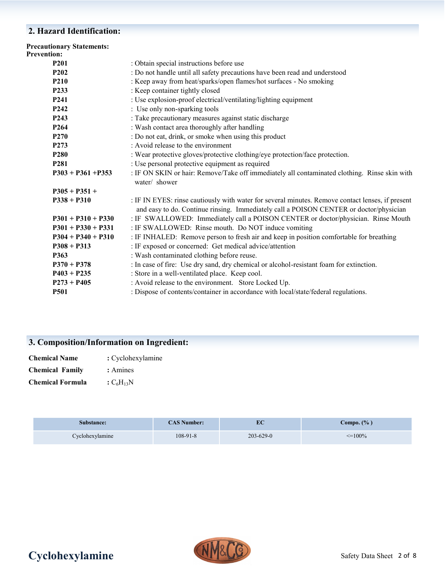## **2. Hazard Identification:**

| <b>Precautionary Statements:</b><br><b>Prevention:</b> |                                                                                                                                                                                            |
|--------------------------------------------------------|--------------------------------------------------------------------------------------------------------------------------------------------------------------------------------------------|
| P <sub>201</sub>                                       | : Obtain special instructions before use                                                                                                                                                   |
| P <sub>2</sub> 0 <sub>2</sub>                          | : Do not handle until all safety precautions have been read and understood                                                                                                                 |
| <b>P210</b>                                            | : Keep away from heat/sparks/open flames/hot surfaces - No smoking                                                                                                                         |
| P233                                                   | : Keep container tightly closed                                                                                                                                                            |
| P <sub>241</sub>                                       | : Use explosion-proof electrical/ventilating/lighting equipment                                                                                                                            |
| P <sub>242</sub>                                       | : Use only non-sparking tools                                                                                                                                                              |
| P <sub>243</sub>                                       | : Take precautionary measures against static discharge                                                                                                                                     |
| P <sub>264</sub>                                       | : Wash contact area thoroughly after handling                                                                                                                                              |
| P <sub>270</sub>                                       | : Do not eat, drink, or smoke when using this product                                                                                                                                      |
| P <sub>273</sub>                                       | : Avoid release to the environment                                                                                                                                                         |
| P <sub>280</sub>                                       | : Wear protective gloves/protective clothing/eye protection/face protection.                                                                                                               |
| P <sub>281</sub>                                       | : Use personal protective equipment as required                                                                                                                                            |
| $P303 + P361 + P353$                                   | : IF ON SKIN or hair: Remove/Take off immediately all contaminated clothing. Rinse skin with<br>water/ shower                                                                              |
| $P305 + P351 +$                                        |                                                                                                                                                                                            |
| $P338 + P310$                                          | : IF IN EYES: rinse cautiously with water for several minutes. Remove contact lenses, if present<br>and easy to do. Continue rinsing. Immediately call a POISON CENTER or doctor/physician |
| $P301 + P310 + P330$                                   | : IF SWALLOWED: Immediately call a POISON CENTER or doctor/physician. Rinse Mouth                                                                                                          |
| $P301 + P330 + P331$                                   | : IF SWALLOWED: Rinse mouth. Do NOT induce vomiting                                                                                                                                        |
| $P304 + P340 + P310$                                   | : IF INHALED: Remove person to fresh air and keep in position comfortable for breathing                                                                                                    |
| $P308 + P313$                                          | : IF exposed or concerned: Get medical advice/attention                                                                                                                                    |
| P363                                                   | : Wash contaminated clothing before reuse.                                                                                                                                                 |
| $P370 + P378$                                          | : In case of fire: Use dry sand, dry chemical or alcohol-resistant foam for extinction.                                                                                                    |
| $P403 + P235$                                          | : Store in a well-ventilated place. Keep cool.                                                                                                                                             |
| $P273 + P405$                                          | : Avoid release to the environment. Store Locked Up.                                                                                                                                       |
| <b>P501</b>                                            | : Dispose of contents/container in accordance with local/state/federal regulations.                                                                                                        |
|                                                        |                                                                                                                                                                                            |

## **3. Composition/Information on Ingredient:**

| <b>Chemical Name</b>   | : Cyclohexylamine |  |  |
|------------------------|-------------------|--|--|
| <b>Chemical Family</b> | : Amines          |  |  |

**Chemical Formula**  $:C_6H_{13}N$ 

| Substance:      | <b>CAS Number:</b> |                 | Compo. $(\%$ )  |
|-----------------|--------------------|-----------------|-----------------|
| Cyclohexylamine | $108-91-8$         | $203 - 629 - 0$ | $\approx$ =100% |

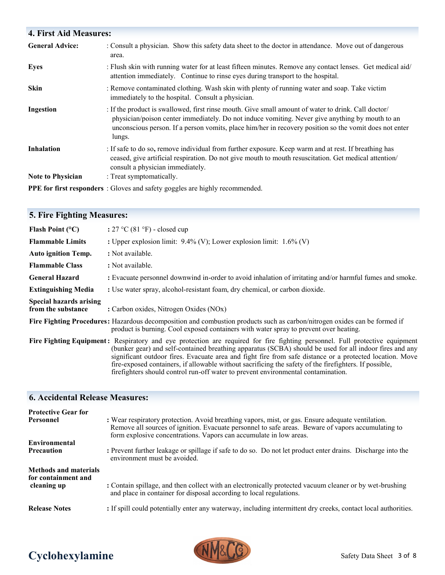## **4. First Aid Measures:**  General Advice: : Consult a physician. Show this safety data sheet to the doctor in attendance. Move out of dangerous area. **Eyes** : Flush skin with running water for at least fifteen minutes. Remove any contact lenses. Get medical aid/ attention immediately. Continue to rinse eyes during transport to the hospital. **Skin** : Remove contaminated clothing. Wash skin with plenty of running water and soap. Take victim immediately to the hospital. Consult a physician. **Ingestion** : If the product is swallowed, first rinse mouth. Give small amount of water to drink. Call doctor/ physician/poison center immediately. Do not induce vomiting. Never give anything by mouth to an unconscious person. If a person vomits, place him/her in recovery position so the vomit does not enter lungs. **Inhalation** : If safe to do so, remove individual from further exposure. Keep warm and at rest. If breathing has ceased, give artificial respiration. Do not give mouth to mouth resuscitation. Get medical attention/ consult a physician immediately. **Note to Physician** : Treat symptomatically. **PPE for first responders** : Gloves and safety goggles are highly recommended.

## **5. Fire Fighting Measures:**

| Flash Point $(^{\circ}C)$                            | : $27 \text{ °C}$ (81 °F) - closed cup                                                                                                                                                                                                                                                                                                                                                                                                                                                                                                            |
|------------------------------------------------------|---------------------------------------------------------------------------------------------------------------------------------------------------------------------------------------------------------------------------------------------------------------------------------------------------------------------------------------------------------------------------------------------------------------------------------------------------------------------------------------------------------------------------------------------------|
| <b>Flammable Limits</b>                              | : Upper explosion limit: $9.4\%$ (V); Lower explosion limit: $1.6\%$ (V)                                                                                                                                                                                                                                                                                                                                                                                                                                                                          |
| <b>Auto ignition Temp.</b>                           | : Not available.                                                                                                                                                                                                                                                                                                                                                                                                                                                                                                                                  |
| <b>Flammable Class</b>                               | : Not available.                                                                                                                                                                                                                                                                                                                                                                                                                                                                                                                                  |
| <b>General Hazard</b>                                | : Evacuate personnel downwind in-order to avoid inhalation of irritating and/or harmful fumes and smoke.                                                                                                                                                                                                                                                                                                                                                                                                                                          |
| <b>Extinguishing Media</b>                           | : Use water spray, alcohol-resistant foam, dry chemical, or carbon dioxide.                                                                                                                                                                                                                                                                                                                                                                                                                                                                       |
| <b>Special hazards arising</b><br>from the substance | : Carbon oxides, Nitrogen Oxides (NOx)                                                                                                                                                                                                                                                                                                                                                                                                                                                                                                            |
|                                                      | Fire Fighting Procedures: Hazardous decomposition and combustion products such as carbon/nitrogen oxides can be formed if<br>product is burning. Cool exposed containers with water spray to prevent over heating.                                                                                                                                                                                                                                                                                                                                |
|                                                      | Fire Fighting Equipment: Respiratory and eye protection are required for fire fighting personnel. Full protective equipment<br>(bunker gear) and self-contained breathing apparatus (SCBA) should be used for all indoor fires and any<br>significant outdoor fires. Evacuate area and fight fire from safe distance or a protected location. Move<br>fire-exposed containers, if allowable without sacrificing the safety of the firefighters. If possible,<br>firefighters should control run-off water to prevent environmental contamination. |

## **6. Accidental Release Measures:**

| <b>Protective Gear for</b><br>Personnel<br>Environmental           | : Wear respiratory protection. Avoid breathing vapors, mist, or gas. Ensure adequate ventilation.<br>Remove all sources of ignition. Evacuate personnel to safe areas. Beware of vapors accumulating to<br>form explosive concentrations. Vapors can accumulate in low areas. |
|--------------------------------------------------------------------|-------------------------------------------------------------------------------------------------------------------------------------------------------------------------------------------------------------------------------------------------------------------------------|
| <b>Precaution</b>                                                  | : Prevent further leakage or spillage if safe to do so. Do not let product enter drains. Discharge into the<br>environment must be avoided.                                                                                                                                   |
| <b>Methods and materials</b><br>for containment and<br>cleaning up | : Contain spillage, and then collect with an electronically protected vacuum cleaner or by wet-brushing<br>and place in container for disposal according to local regulations.                                                                                                |
| <b>Release Notes</b>                                               | : If spill could potentially enter any waterway, including intermittent dry creeks, contact local authorities.                                                                                                                                                                |



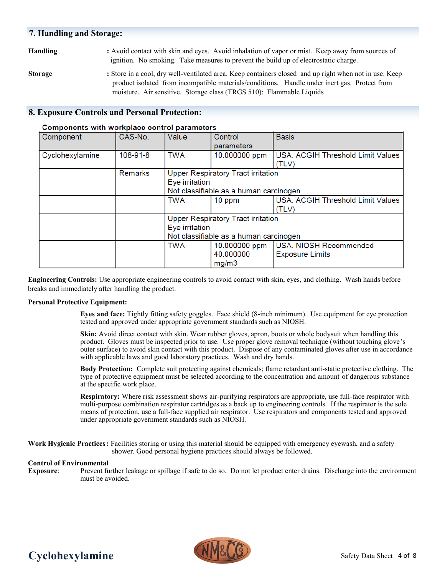### **7. Handling and Storage:**

### **Handling :** Avoid contact with skin and eyes. Avoid inhalation of vapor or mist. Keep away from sources of ignition. No smoking. Take measures to prevent the build up of electrostatic charge.

**Storage :** Store in a cool, dry well-ventilated area. Keep containers closed and up right when not in use. Keep product isolated from incompatible materials/conditions. Handle under inert gas. Protect from moisture. Air sensitive. Storage class (TRGS 510): Flammable Liquids

### **8. Exposure Controls and Personal Protection:**

#### Component CAS-No. Value Control **Basis** parameters Cyclohexylamine 108-91-8 **TWA** 10.000000 ppm USA. ACGIH Threshold Limit Values  $(TLV)$ **Remarks Upper Respiratory Tract irritation** Eve irritation Not classifiable as a human carcinogen **TWA** USA. ACGIH Threshold Limit Values 10 ppm  $(TLV)$ **Upper Respiratory Tract irritation** Eye irritation Not classifiable as a human carcinogen TWA 10.000000 ppm USA, NIOSH Recommended 40.000000 **Exposure Limits** mg/m3

#### Components with workplace control parameters

**Engineering Controls:** Use appropriate engineering controls to avoid contact with skin, eyes, and clothing. Wash hands before breaks and immediately after handling the product.

#### **Personal Protective Equipment:**

**Eyes and face:** Tightly fitting safety goggles. Face shield (8-inch minimum). Use equipment for eye protection tested and approved under appropriate government standards such as NIOSH.

**Skin:** Avoid direct contact with skin. Wear rubber gloves, apron, boots or whole bodysuit when handling this product. Gloves must be inspected prior to use. Use proper glove removal technique (without touching glove's outer surface) to avoid skin contact with this product. Dispose of any contaminated gloves after use in accordance with applicable laws and good laboratory practices. Wash and dry hands.

**Body Protection:** Complete suit protecting against chemicals; flame retardant anti-static protective clothing. The type of protective equipment must be selected according to the concentration and amount of dangerous substance at the specific work place.

**Respiratory:** Where risk assessment shows air-purifying respirators are appropriate, use full-face respirator with multi-purpose combination respirator cartridges as a back up to engineering controls. If the respirator is the sole means of protection, use a full-face supplied air respirator. Use respirators and components tested and approved under appropriate government standards such as NIOSH.

**Work Hygienic Practices:** Facilities storing or using this material should be equipped with emergency eyewash, and a safety shower. Good personal hygiene practices should always be followed.

#### **Control of Environmental**

**Exposure**: Prevent further leakage or spillage if safe to do so. Do not let product enter drains. Discharge into the environment must be avoided.



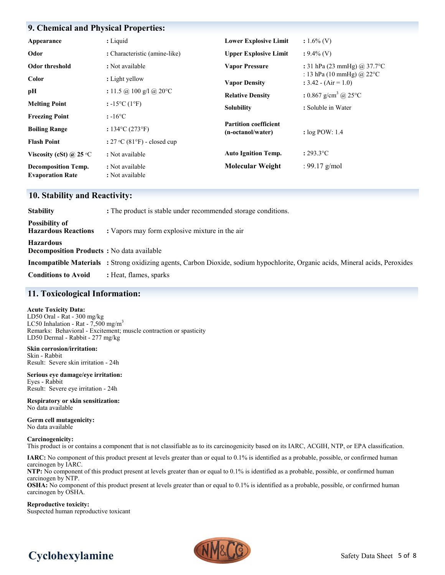### **9. Chemical and Physical Properties:**

| Appearance                                            | : Liquid                              | <b>Lower Explosive Limit</b>                      | $: 1.6\%$ (V)                                                  |
|-------------------------------------------------------|---------------------------------------|---------------------------------------------------|----------------------------------------------------------------|
| Odor                                                  | : Characteristic (amine-like)         | <b>Upper Explosive Limit</b>                      | $: 9.4\%$ (V)                                                  |
| Odor threshold                                        | : Not available                       | <b>Vapor Pressure</b>                             | : 31 hPa (23 mmHg) @ 37.7 °C                                   |
| <b>Color</b>                                          | : Light yellow                        | <b>Vapor Density</b>                              | : 13 hPa (10 mmHg) @ 22 $^{\circ}$ C<br>$: 3.42 - (Air = 1.0)$ |
| pН                                                    | : 11.5 @ 100 g/l @ 20 °C              | <b>Relative Density</b>                           | : 0.867 g/cm <sup>3</sup> @ 25 $^{\circ}$ C                    |
| <b>Melting Point</b>                                  | : $-15^{\circ}C(1^{\circ}F)$          | <b>Solubility</b>                                 | : Soluble in Water                                             |
| <b>Freezing Point</b>                                 | $: -16^{\circ}C$                      |                                                   |                                                                |
| <b>Boiling Range</b>                                  | : $134^{\circ}C(273^{\circ}F)$        | <b>Partition coefficient</b><br>(n-octanol/water) | : $log POW: 1.4$                                               |
| <b>Flash Point</b>                                    | : $27 \text{ °C}$ (81°F) - closed cup |                                                   |                                                                |
| Viscosity (cSt) @ 25 $\degree$ C                      | : Not available                       | <b>Auto Ignition Temp.</b>                        | $: 293.3$ °C                                                   |
| <b>Decomposition Temp.</b><br><b>Evaporation Rate</b> | : Not available<br>: Not available    | <b>Molecular Weight</b>                           | : 99.17 $g/mol$                                                |

#### **10. Stability and Reactivity:**

| <b>Stability</b>                                                      | : The product is stable under recommended storage conditions.                                                                  |  |  |  |
|-----------------------------------------------------------------------|--------------------------------------------------------------------------------------------------------------------------------|--|--|--|
| <b>Possibility of</b><br><b>Hazardous Reactions</b>                   | : Vapors may form explosive mixture in the air                                                                                 |  |  |  |
| <b>Hazardous</b><br><b>Decomposition Products</b> : No data available |                                                                                                                                |  |  |  |
|                                                                       | Incompatible Materials : Strong oxidizing agents, Carbon Dioxide, sodium hypochlorite, Organic acids, Mineral acids, Peroxides |  |  |  |
| <b>Conditions to Avoid</b>                                            | : Heat, flames, sparks                                                                                                         |  |  |  |

### **11. Toxicological Information:**

#### **Acute Toxicity Data:**

LD50 Oral - Rat - 300 mg/kg LC50 Inhalation - Rat -  $7,500$  mg/m<sup>3</sup> Remarks: Behavioral - Excitement; muscle contraction or spasticity LD50 Dermal - Rabbit - 277 mg/kg

**Skin corrosion/irritation:** Skin - Rabbit Result: Severe skin irritation - 24h

**Serious eye damage/eye irritation:** Eyes - Rabbit Result: Severe eye irritation - 24h

**Respiratory or skin sensitization:** No data available

**Germ cell mutagenicity:** No data available

**Carcinogenicity:**

This product is or contains a component that is not classifiable as to its carcinogenicity based on its IARC, ACGIH, NTP, or EPA classification.

**IARC:** No component of this product present at levels greater than or equal to 0.1% is identified as a probable, possible, or confirmed human carcinogen by IARC.

**NTP:** No component of this product present at levels greater than or equal to 0.1% is identified as a probable, possible, or confirmed human carcinogen by NTP.

**OSHA:** No component of this product present at levels greater than or equal to 0.1% is identified as a probable, possible, or confirmed human carcinogen by OSHA.

**Reproductive toxicity:** Suspected human reproductive toxicant

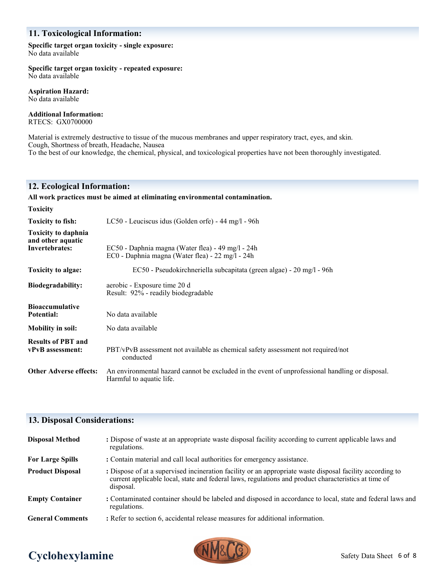## **11. Toxicological Information:**

#### **Specific target organ toxicity - single exposure:** No data available

**Specific target organ toxicity - repeated exposure:**

No data available

**Aspiration Hazard:** No data available

**Additional Information:**

RTECS: GX0700000

Material is extremely destructive to tissue of the mucous membranes and upper respiratory tract, eyes, and skin. Cough, Shortness of breath, Headache, Nausea To the best of our knowledge, the chemical, physical, and toxicological properties have not been thoroughly investigated.

## **12. Ecological Information:**

#### **All work practices must be aimed at eliminating environmental contamination.**

| <b>Toxicity</b>                                                          |                                                                                                                             |
|--------------------------------------------------------------------------|-----------------------------------------------------------------------------------------------------------------------------|
| <b>Toxicity to fish:</b>                                                 | LC50 - Leuciscus idus (Golden orfe) - 44 mg/l - 96h                                                                         |
| <b>Toxicity to daphnia</b><br>and other aquatic<br><b>Invertebrates:</b> | EC50 - Daphnia magna (Water flea) - 49 mg/l - 24h<br>EC0 - Daphnia magna (Water flea) - 22 mg/l - 24h                       |
| Toxicity to algae:                                                       | EC50 - Pseudokirchneriella subcapitata (green algae) - 20 mg/l - 96h                                                        |
| Biodegradability:                                                        | aerobic - Exposure time 20 d<br>Result: 92% - readily biodegradable                                                         |
| <b>Bioaccumulative</b><br>Potential:                                     | No data available                                                                                                           |
| <b>Mobility in soil:</b>                                                 | No data available                                                                                                           |
| <b>Results of PBT and</b><br>vPvB assessment:                            | PBT/vPvB assessment not available as chemical safety assessment not required/not<br>conducted                               |
| <b>Other Adverse effects:</b>                                            | An environmental hazard cannot be excluded in the event of unprofessional handling or disposal.<br>Harmful to aquatic life. |

## **13. Disposal Considerations:**

| <b>Disposal Method</b>  | : Dispose of waste at an appropriate waste disposal facility according to current applicable laws and<br>regulations.                                                                                                          |
|-------------------------|--------------------------------------------------------------------------------------------------------------------------------------------------------------------------------------------------------------------------------|
| <b>For Large Spills</b> | : Contain material and call local authorities for emergency assistance.                                                                                                                                                        |
| <b>Product Disposal</b> | : Dispose of at a supervised incineration facility or an appropriate waste disposal facility according to<br>current applicable local, state and federal laws, regulations and product characteristics at time of<br>disposal. |
| <b>Empty Container</b>  | : Contaminated container should be labeled and disposed in accordance to local, state and federal laws and<br>regulations.                                                                                                     |
| <b>General Comments</b> | : Refer to section 6, accidental release measures for additional information.                                                                                                                                                  |

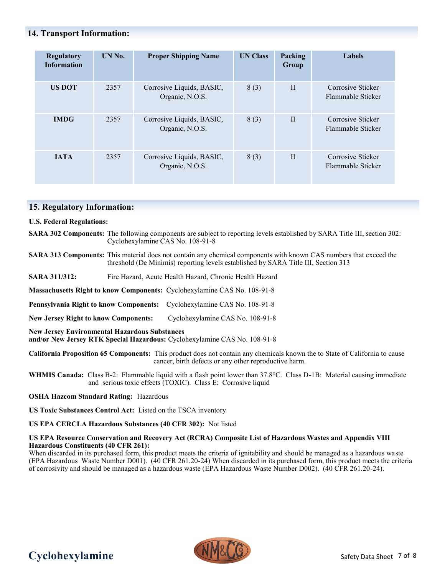### **14. Transport Information:**

| <b>Regulatory</b><br><b>Information</b> | UN No. | <b>Proper Shipping Name</b>                  | <b>UN Class</b> | <b>Packing</b><br>Group | Labels                                 |
|-----------------------------------------|--------|----------------------------------------------|-----------------|-------------------------|----------------------------------------|
| <b>US DOT</b>                           | 2357   | Corrosive Liquids, BASIC,<br>Organic, N.O.S. | 8(3)            | $\mathbf{I}$            | Corrosive Sticker<br>Flammable Sticker |
| <b>IMDG</b>                             | 2357   | Corrosive Liquids, BASIC,<br>Organic, N.O.S. | 8(3)            | $\mathbf{I}$            | Corrosive Sticker<br>Flammable Sticker |
| <b>JATA</b>                             | 2357   | Corrosive Liquids, BASIC,<br>Organic, N.O.S. | 8(3)            | $\mathbf{I}$            | Corrosive Sticker<br>Flammable Sticker |

### **15. Regulatory Information:**

#### **U.S. Federal Regulations:**

**SARA 302 Components:** The following components are subject to reporting levels established by SARA Title III, section 302: Cyclohexylamine CAS No. 108-91-8

- **SARA 313 Components:** This material does not contain any chemical components with known CAS numbers that exceed the threshold (De Minimis) reporting levels established by SARA Title III, Section 313
- **SARA 311/312:** Fire Hazard, Acute Health Hazard, Chronic Health Hazard

**Massachusetts Right to know Components:** Cyclohexylamine CAS No. 108-91-8

**Pennsylvania Right to know Components:** Cyclohexylamine CAS No. 108-91-8

**New Jersey Right to know Components:** Cyclohexylamine CAS No. 108-91-8

**New Jersey Environmental Hazardous Substances** 

**and/or New Jersey RTK Special Hazardous:** Cyclohexylamine CAS No. 108-91-8

**California Proposition 65 Components:** This product does not contain any chemicals known the to State of California to cause cancer, birth defects or any other reproductive harm.

**WHMIS Canada:** Class B-2: Flammable liquid with a flash point lower than 37.8°C. Class D-1B: Material causing immediate and serious toxic effects (TOXIC). Class E: Corrosive liquid

#### **OSHA Hazcom Standard Rating:** Hazardous

**US Toxic Substances Control Act:** Listed on the TSCA inventory

**US EPA CERCLA Hazardous Substances (40 CFR 302):** Not listed

#### **US EPA Resource Conservation and Recovery Act (RCRA) Composite List of Hazardous Wastes and Appendix VIII Hazardous Constituents (40 CFR 261):**

When discarded in its purchased form, this product meets the criteria of ignitability and should be managed as a hazardous waste (EPA Hazardous Waste Number D001). (40 CFR 261.20-24) When discarded in its purchased form, this product meets the criteria of corrosivity and should be managed as a hazardous waste (EPA Hazardous Waste Number D002). (40 CFR 261.20-24).